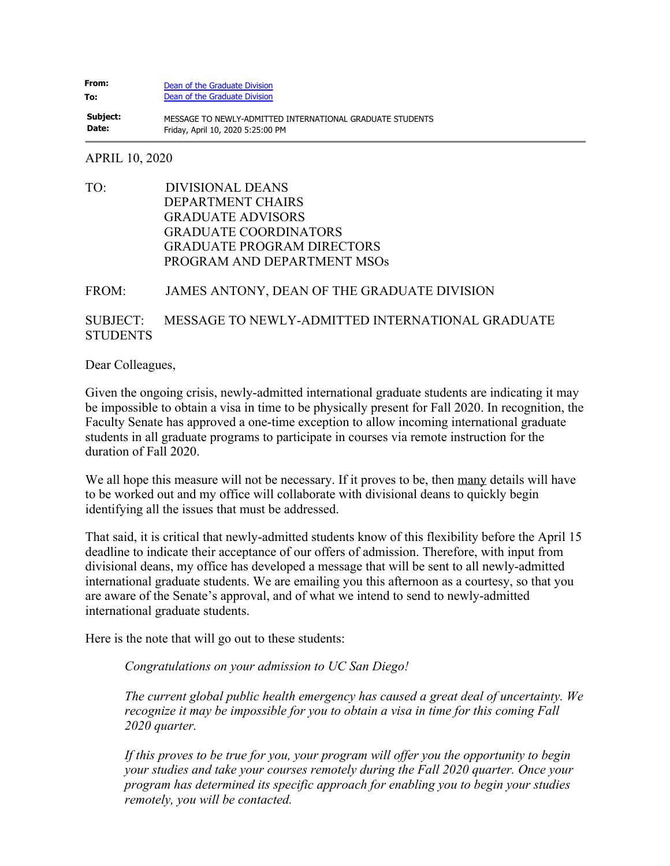## **From: To:** [Dean of the Graduate Division](mailto:graduatedean@ucsd.edu) [Dean of the Graduate Division](mailto:graduatedean@ucsd.edu)

**Subject: Date:** MESSAGE TO NEWLY-ADMITTED INTERNATIONAL GRADUATE STUDENTS Friday, April 10, 2020 5:25:00 PM

## APRIL 10, 2020

TO: DIVISIONAL DEANS DEPARTMENT CHAIRS GRADUATE ADVISORS GRADUATE COORDINATORS GRADUATE PROGRAM DIRECTORS PROGRAM AND DEPARTMENT MSOs

## FROM: JAMES ANTONY, DEAN OF THE GRADUATE DIVISION

## SUBJECT: MESSAGE TO NEWLY-ADMITTED INTERNATIONAL GRADUATE **STUDENTS**

Dear Colleagues,

Given the ongoing crisis, newly-admitted international graduate students are indicating it may be impossible to obtain a visa in time to be physically present for Fall 2020. In recognition, the Faculty Senate has approved a one-time exception to allow incoming international graduate students in all graduate programs to participate in courses via remote instruction for the duration of Fall 2020.

We all hope this measure will not be necessary. If it proves to be, then many details will have to be worked out and my office will collaborate with divisional deans to quickly begin identifying all the issues that must be addressed.

That said, it is critical that newly-admitted students know of this flexibility before the April 15 deadline to indicate their acceptance of our offers of admission. Therefore, with input from divisional deans, my office has developed a message that will be sent to all newly-admitted international graduate students. We are emailing you this afternoon as a courtesy, so that you are aware of the Senate's approval, and of what we intend to send to newly-admitted international graduate students.

Here is the note that will go out to these students:

*Congratulations on your admission to UC San Diego!*

*The current global public health emergency has caused a great deal of uncertainty. We recognize it may be impossible for you to obtain a visa in time for this coming Fall 2020 quarter.*

*If this proves to be true for you, your program will offer you the opportunity to begin your studies and take your courses remotely during the Fall 2020 quarter. Once your program has determined its specific approach for enabling you to begin your studies remotely, you will be contacted.*